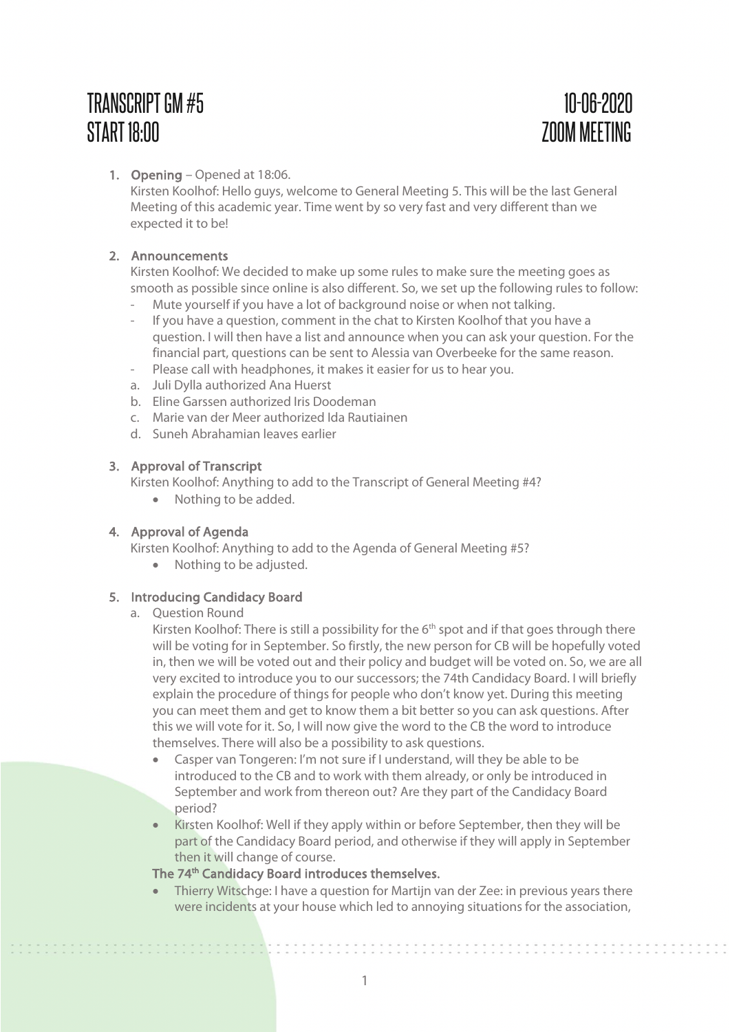# TRANSCRIPTGM #5 10-06-2020 START 18:00 ZOOM MEETING

# 1. Opening – Opened at 18:06.

Kirsten Koolhof: Hello guys, welcome to General Meeting 5. This will be the last General Meeting of this academic year. Time went by so very fast and very different than we expected it to be!

# 2. Announcements

Kirsten Koolhof: We decided to make up some rules to make sure the meeting goes as smooth as possible since online is also different. So, we set up the following rules to follow:

- Mute yourself if you have a lot of background noise or when not talking.
- If you have a question, comment in the chat to Kirsten Koolhof that you have a question. I will then have a list and announce when you can ask your question. For the financial part, questions can be sent to Alessia van Overbeeke for the same reason.
- Please call with headphones, it makes it easier for us to hear you.
- a. Juli Dylla authorized Ana Huerst
- b. Eline Garssen authorized Iris Doodeman
- c. Marie van der Meer authorized Ida Rautiainen
- d. Suneh Abrahamian leaves earlier

# 3. Approval of Transcript

Kirsten Koolhof: Anything to add to the Transcript of General Meeting #4?

• Nothing to be added.

# 4. Approval of Agenda

Kirsten Koolhof: Anything to add to the Agenda of General Meeting #5?

• Nothing to be adjusted.

# 5. Introducing Candidacy Board

# a. Question Round

,,,,,,,,,,,,,,,,,,,

Kirsten Koolhof: There is still a possibility for the  $6<sup>th</sup>$  spot and if that goes through there will be voting for in September. So firstly, the new person for CB will be hopefully voted in, then we will be voted out and their policy and budget will be voted on. So, we are all very excited to introduce you to our successors; the 74th Candidacy Board. I will briefly explain the procedure of things for people who don't know yet. During this meeting you can meet them and get to know them a bit better so you can ask questions. After this we will vote for it. So, I will now give the word to the CB the word to introduce themselves. There will also be a possibility to ask questions.

- Casper van Tongeren: I'm not sure if I understand, will they be able to be introduced to the CB and to work with them already, or only be introduced in September and work from thereon out? Are they part of the Candidacy Board period?
- Kirsten Koolhof: Well if they apply within or before September, then they will be part of the Candidacy Board period, and otherwise if they will apply in September then it will change of course.

# The 74<sup>th</sup> Candidacy Board introduces themselves.

• Thierry Witschge: I have a question for Martijn van der Zee: in previous years there were incidents at your house which led to annoying situations for the association,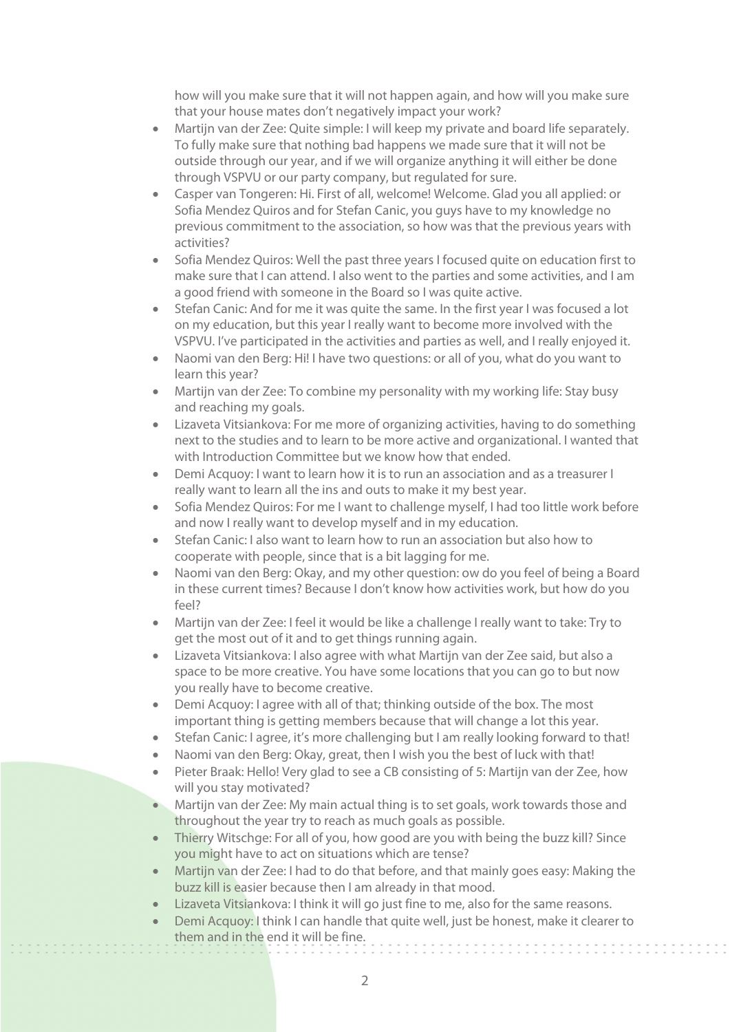how will you make sure that it will not happen again, and how will you make sure that your house mates don't negatively impact your work?

- Martijn van der Zee: Quite simple: I will keep my private and board life separately. To fully make sure that nothing bad happens we made sure that it will not be outside through our year, and if we will organize anything it will either be done through VSPVU or our party company, but regulated for sure.
- Casper van Tongeren: Hi. First of all, welcome! Welcome. Glad you all applied: or Sofia Mendez Quiros and for Stefan Canic, you guys have to my knowledge no previous commitment to the association, so how was that the previous years with activities?
- Sofia Mendez Quiros: Well the past three years I focused quite on education first to make sure that I can attend. I also went to the parties and some activities, and I am a good friend with someone in the Board so I was quite active.
- Stefan Canic: And for me it was quite the same. In the first year I was focused a lot on my education, but this year I really want to become more involved with the VSPVU. I've participated in the activities and parties as well, and I really enjoyed it.
- Naomi van den Berg: Hi! I have two questions: or all of you, what do you want to learn this year?
- Martijn van der Zee: To combine my personality with my working life: Stay busy and reaching my goals.
- Lizaveta Vitsiankova: For me more of organizing activities, having to do something next to the studies and to learn to be more active and organizational. I wanted that with Introduction Committee but we know how that ended.
- Demi Acquoy: I want to learn how it is to run an association and as a treasurer I really want to learn all the ins and outs to make it my best year.
- Sofia Mendez Quiros: For me I want to challenge myself, I had too little work before and now I really want to develop myself and in my education.
- Stefan Canic: I also want to learn how to run an association but also how to cooperate with people, since that is a bit lagging for me.
- Naomi van den Berg: Okay, and my other question: ow do you feel of being a Board in these current times? Because I don't know how activities work, but how do you feel?
- Martijn van der Zee: I feel it would be like a challenge I really want to take: Try to get the most out of it and to get things running again.
- Lizaveta Vitsiankova: I also agree with what Martijn van der Zee said, but also a space to be more creative. You have some locations that you can go to but now you really have to become creative.
- Demi Acquoy: I agree with all of that; thinking outside of the box. The most important thing is getting members because that will change a lot this year.
- Stefan Canic: I agree, it's more challenging but I am really looking forward to that!
- Naomi van den Berg: Okay, great, then I wish you the best of luck with that!
- Pieter Braak: Hello! Very glad to see a CB consisting of 5: Martijn van der Zee, how will you stay motivated?
- Martijn van der Zee: My main actual thing is to set goals, work towards those and throughout the year try to reach as much goals as possible.
- Thierry Witschge: For all of you, how good are you with being the buzz kill? Since you might have to act on situations which are tense?
- Martijn van der Zee: I had to do that before, and that mainly goes easy: Making the buzz kill is easier because then I am already in that mood.
- Lizaveta Vitsiankova: I think it will go just fine to me, also for the same reasons.
- Demi Acquoy: I think I can handle that quite well, just be honest, make it clearer to them and in the end it will be fine.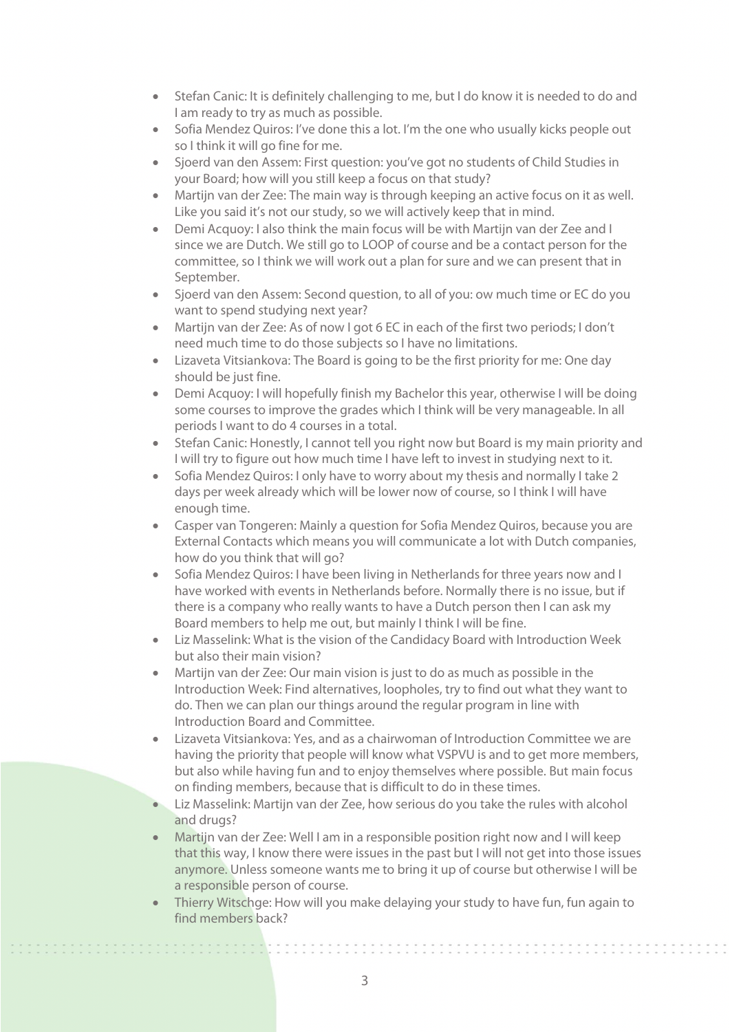- Stefan Canic: It is definitely challenging to me, but I do know it is needed to do and I am ready to try as much as possible.
- Sofia Mendez Quiros: I've done this a lot. I'm the one who usually kicks people out so I think it will go fine for me.
- Sjoerd van den Assem: First question: you've got no students of Child Studies in your Board; how will you still keep a focus on that study?
- Martijn van der Zee: The main way is through keeping an active focus on it as well. Like you said it's not our study, so we will actively keep that in mind.
- Demi Acquoy: I also think the main focus will be with Martijn van der Zee and I since we are Dutch. We still go to LOOP of course and be a contact person for the committee, so I think we will work out a plan for sure and we can present that in September.
- Sjoerd van den Assem: Second question, to all of you: ow much time or EC do you want to spend studying next year?
- Martijn van der Zee: As of now I got 6 EC in each of the first two periods; I don't need much time to do those subjects so I have no limitations.
- Lizaveta Vitsiankova: The Board is going to be the first priority for me: One day should be just fine.
- Demi Acquoy: I will hopefully finish my Bachelor this year, otherwise I will be doing some courses to improve the grades which I think will be very manageable. In all periods I want to do 4 courses in a total.
- Stefan Canic: Honestly, I cannot tell you right now but Board is my main priority and I will try to figure out how much time I have left to invest in studying next to it.
- Sofia Mendez Quiros: I only have to worry about my thesis and normally I take 2 days per week already which will be lower now of course, so I think I will have enough time.
- Casper van Tongeren: Mainly a question for Sofia Mendez Quiros, because you are External Contacts which means you will communicate a lot with Dutch companies, how do you think that will go?
- Sofia Mendez Quiros: I have been living in Netherlands for three years now and I have worked with events in Netherlands before. Normally there is no issue, but if there is a company who really wants to have a Dutch person then I can ask my Board members to help me out, but mainly I think I will be fine.
- Liz Masselink: What is the vision of the Candidacy Board with Introduction Week but also their main vision?
- Martijn van der Zee: Our main vision is just to do as much as possible in the Introduction Week: Find alternatives, loopholes, try to find out what they want to do. Then we can plan our things around the regular program in line with Introduction Board and Committee.
- Lizaveta Vitsiankova: Yes, and as a chairwoman of Introduction Committee we are having the priority that people will know what VSPVU is and to get more members, but also while having fun and to enjoy themselves where possible. But main focus on finding members, because that is difficult to do in these times.
- Liz Masselink: Martijn van der Zee, how serious do you take the rules with alcohol and drugs?
- Martijn van der Zee: Well I am in a responsible position right now and I will keep that this way, I know there were issues in the past but I will not get into those issues anymore. Unless someone wants me to bring it up of course but otherwise I will be a responsible person of course.
- Thierry Witschge: How will you make delaying your study to have fun, fun again to find members back?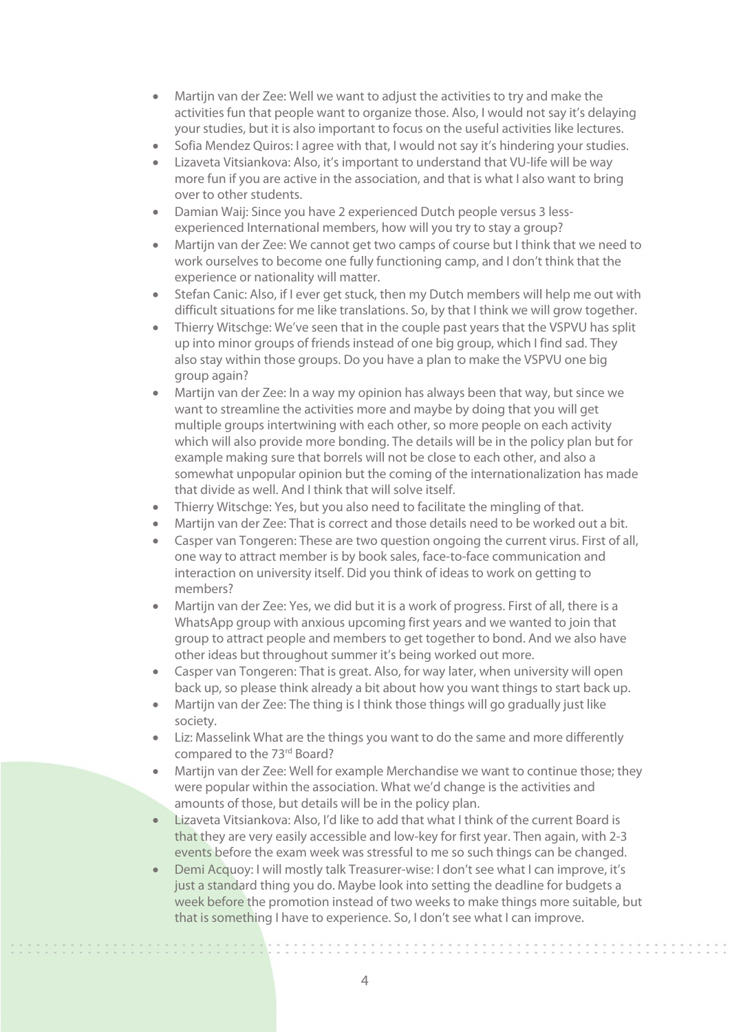- Martijn van der Zee: Well we want to adjust the activities to try and make the activities fun that people want to organize those. Also, I would not say it's delaying your studies, but it is also important to focus on the useful activities like lectures.
- Sofia Mendez Quiros: I agree with that, I would not say it's hindering your studies.
- Lizaveta Vitsiankova: Also, it's important to understand that VU-life will be way more fun if you are active in the association, and that is what I also want to bring over to other students.
- Damian Waij: Since you have 2 experienced Dutch people versus 3 lessexperienced International members, how will you try to stay a group?
- Martijn van der Zee: We cannot get two camps of course but I think that we need to work ourselves to become one fully functioning camp, and I don't think that the experience or nationality will matter.
- Stefan Canic: Also, if I ever get stuck, then my Dutch members will help me out with difficult situations for me like translations. So, by that I think we will grow together.
- Thierry Witschge: We've seen that in the couple past years that the VSPVU has split up into minor groups of friends instead of one big group, which I find sad. They also stay within those groups. Do you have a plan to make the VSPVU one big group again?
- Martijn van der Zee: In a way my opinion has always been that way, but since we want to streamline the activities more and maybe by doing that you will get multiple groups intertwining with each other, so more people on each activity which will also provide more bonding. The details will be in the policy plan but for example making sure that borrels will not be close to each other, and also a somewhat unpopular opinion but the coming of the internationalization has made that divide as well. And I think that will solve itself.
- Thierry Witschge: Yes, but you also need to facilitate the mingling of that.
- Martijn van der Zee: That is correct and those details need to be worked out a bit.
- Casper van Tongeren: These are two question ongoing the current virus. First of all, one way to attract member is by book sales, face-to-face communication and interaction on university itself. Did you think of ideas to work on getting to members?
- Martijn van der Zee: Yes, we did but it is a work of progress. First of all, there is a WhatsApp group with anxious upcoming first years and we wanted to join that group to attract people and members to get together to bond. And we also have other ideas but throughout summer it's being worked out more.
- Casper van Tongeren: That is great. Also, for way later, when university will open back up, so please think already a bit about how you want things to start back up.
- Martijn van der Zee: The thing is I think those things will go gradually just like society.
- Liz: Masselink What are the things you want to do the same and more differently compared to the 73rd Board?
- Martijn van der Zee: Well for example Merchandise we want to continue those; they were popular within the association. What we'd change is the activities and amounts of those, but details will be in the policy plan.
- Lizaveta Vitsiankova: Also, I'd like to add that what I think of the current Board is that they are very easily accessible and low-key for first year. Then again, with 2-3 events before the exam week was stressful to me so such things can be changed.
- Demi Acquoy: I will mostly talk Treasurer-wise: I don't see what I can improve, it's just a standard thing you do. Maybe look into setting the deadline for budgets a week before the promotion instead of two weeks to make things more suitable, but that is something I have to experience. So, I don't see what I can improve.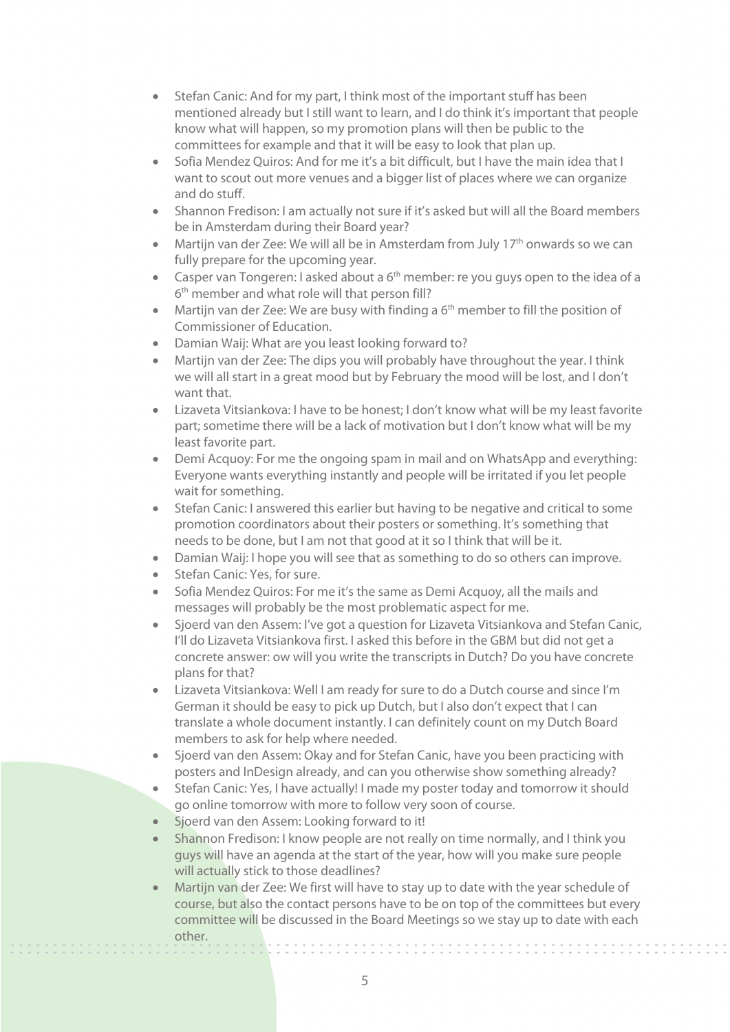- Stefan Canic: And for my part, I think most of the important stuff has been mentioned already but I still want to learn, and I do think it's important that people know what will happen, so my promotion plans will then be public to the committees for example and that it will be easy to look that plan up.
- Sofia Mendez Quiros: And for me it's a bit difficult, but I have the main idea that I want to scout out more venues and a bigger list of places where we can organize and do stuff.
- Shannon Fredison: I am actually not sure if it's asked but will all the Board members be in Amsterdam during their Board year?
- Martijn van der Zee: We will all be in Amsterdam from July 17<sup>th</sup> onwards so we can fully prepare for the upcoming year.
- Casper van Tongeren: I asked about a  $6<sup>th</sup>$  member: re you guys open to the idea of a 6<sup>th</sup> member and what role will that person fill?
- Martijn van der Zee: We are busy with finding a  $6<sup>th</sup>$  member to fill the position of Commissioner of Education.
- Damian Waij: What are you least looking forward to?
- Martijn van der Zee: The dips you will probably have throughout the year. I think we will all start in a great mood but by February the mood will be lost, and I don't want that.
- Lizaveta Vitsiankova: I have to be honest; I don't know what will be my least favorite part; sometime there will be a lack of motivation but I don't know what will be my least favorite part.
- Demi Acquoy: For me the ongoing spam in mail and on WhatsApp and everything: Everyone wants everything instantly and people will be irritated if you let people wait for something.
- Stefan Canic: I answered this earlier but having to be negative and critical to some promotion coordinators about their posters or something. It's something that needs to be done, but I am not that good at it so I think that will be it.
- Damian Waij: I hope you will see that as something to do so others can improve.
- Stefan Canic: Yes, for sure.
- Sofia Mendez Quiros: For me it's the same as Demi Acquoy, all the mails and messages will probably be the most problematic aspect for me.
- Sjoerd van den Assem: I've got a question for Lizaveta Vitsiankova and Stefan Canic, I'll do Lizaveta Vitsiankova first. I asked this before in the GBM but did not get a concrete answer: ow will you write the transcripts in Dutch? Do you have concrete plans for that?
- Lizaveta Vitsiankova: Well I am ready for sure to do a Dutch course and since I'm German it should be easy to pick up Dutch, but I also don't expect that I can translate a whole document instantly. I can definitely count on my Dutch Board members to ask for help where needed.
- Sjoerd van den Assem: Okay and for Stefan Canic, have you been practicing with posters and InDesign already, and can you otherwise show something already?
- Stefan Canic: Yes, I have actually! I made my poster today and tomorrow it should go online tomorrow with more to follow very soon of course.
- Sjoerd van den Assem: Looking forward to it!
- Shannon Fredison: I know people are not really on time normally, and I think you guys will have an agenda at the start of the year, how will you make sure people will actually stick to those deadlines?
- Martijn van der Zee: We first will have to stay up to date with the year schedule of course, but also the contact persons have to be on top of the committees but every committee will be discussed in the Board Meetings so we stay up to date with each other.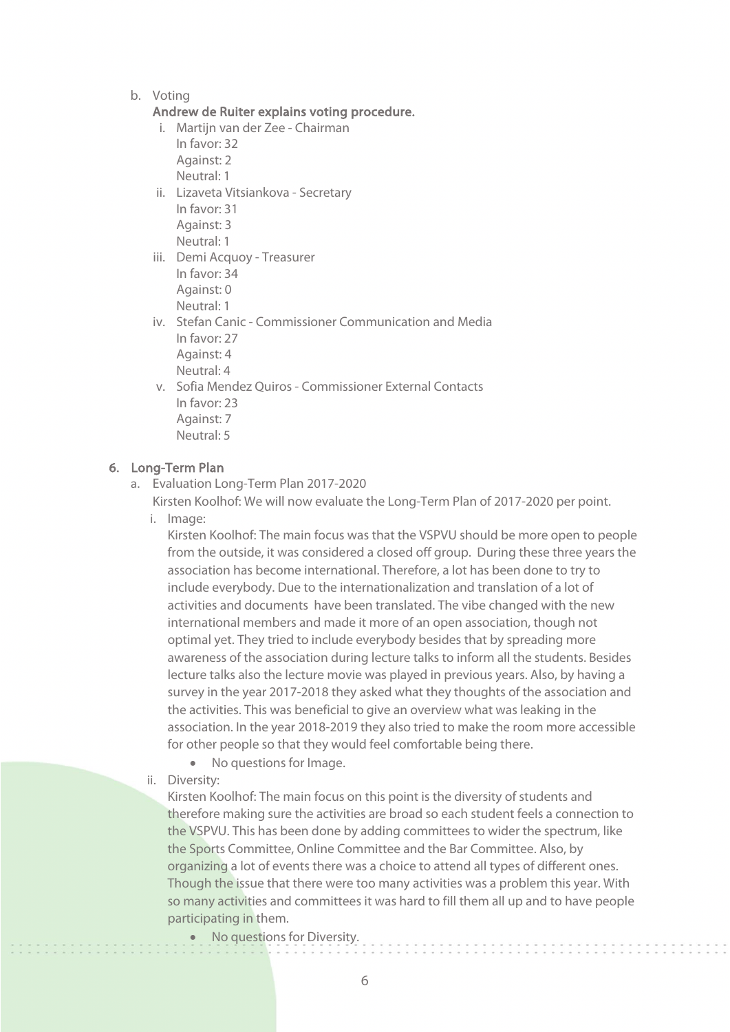b. Voting

#### Andrew de Ruiter explains voting procedure.

- i. Martijn van der Zee Chairman
	- In favor: 32 Against: 2
	- Neutral: 1
- ii. Lizaveta Vitsiankova Secretary In favor: 31 Against: 3 Neutral: 1
- iii. Demi Acquoy Treasurer In favor: 34 Against: 0 Neutral: 1
- iv. Stefan Canic Commissioner Communication and Media In favor: 27 Against: 4 Neutral: 4
- v. Sofia Mendez Quiros Commissioner External Contacts In favor: 23 Against: 7 Neutral: 5

#### 6. Long-Term Plan

a. Evaluation Long-Term Plan 2017-2020

Kirsten Koolhof: We will now evaluate the Long-Term Plan of 2017-2020 per point.

i. Image:

Kirsten Koolhof: The main focus was that the VSPVU should be more open to people from the outside, it was considered a closed off group. During these three years the association has become international. Therefore, a lot has been done to try to include everybody. Due to the internationalization and translation of a lot of activities and documents have been translated. The vibe changed with the new international members and made it more of an open association, though not optimal yet. They tried to include everybody besides that by spreading more awareness of the association during lecture talks to inform all the students. Besides lecture talks also the lecture movie was played in previous years. Also, by having a survey in the year 2017-2018 they asked what they thoughts of the association and the activities. This was beneficial to give an overview what was leaking in the association. In the year 2018-2019 they also tried to make the room more accessible for other people so that they would feel comfortable being there.

- No questions for Image.
- ii. Diversity:

Kirsten Koolhof: The main focus on this point is the diversity of students and therefore making sure the activities are broad so each student feels a connection to the VSPVU. This has been done by adding committees to wider the spectrum, like the Sports Committee, Online Committee and the Bar Committee. Also, by organizing a lot of events there was a choice to attend all types of different ones. Though the issue that there were too many activities was a problem this year. With so many activities and committees it was hard to fill them all up and to have people participating in them.

No questions for Diversity.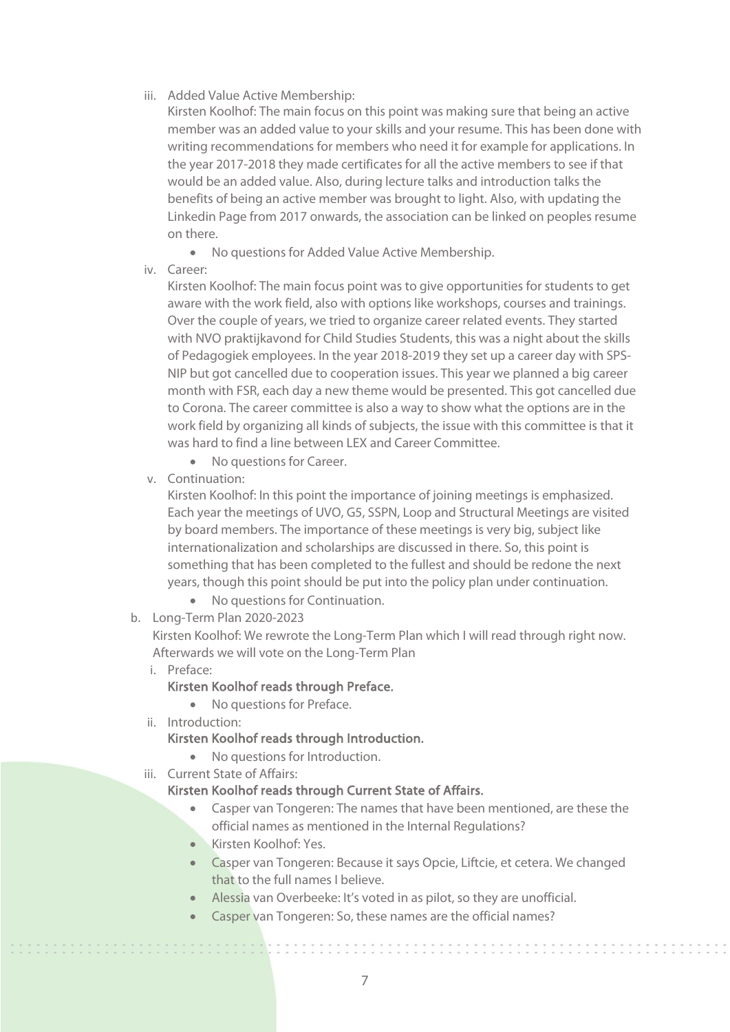iii. Added Value Active Membership:

Kirsten Koolhof: The main focus on this point was making sure that being an active member was an added value to your skills and your resume. This has been done with writing recommendations for members who need it for example for applications. In the year 2017-2018 they made certificates for all the active members to see if that would be an added value. Also, during lecture talks and introduction talks the benefits of being an active member was brought to light. Also, with updating the Linkedin Page from 2017 onwards, the association can be linked on peoples resume on there.

- No questions for Added Value Active Membership.
- iv. Career:

Kirsten Koolhof: The main focus point was to give opportunities for students to get aware with the work field, also with options like workshops, courses and trainings. Over the couple of years, we tried to organize career related events. They started with NVO praktijkavond for Child Studies Students, this was a night about the skills of Pedagogiek employees. In the year 2018-2019 they set up a career day with SPS-NIP but got cancelled due to cooperation issues. This year we planned a big career month with FSR, each day a new theme would be presented. This got cancelled due to Corona. The career committee is also a way to show what the options are in the work field by organizing all kinds of subjects, the issue with this committee is that it was hard to find a line between LEX and Career Committee.

- No questions for Career.
- v. Continuation:

Kirsten Koolhof: In this point the importance of joining meetings is emphasized. Each year the meetings of UVO, G5, SSPN, Loop and Structural Meetings are visited by board members. The importance of these meetings is very big, subject like internationalization and scholarships are discussed in there. So, this point is something that has been completed to the fullest and should be redone the next years, though this point should be put into the policy plan under continuation.

- No questions for Continuation.
- b. Long-Term Plan 2020-2023

Kirsten Koolhof: We rewrote the Long-Term Plan which I will read through right now. Afterwards we will vote on the Long-Term Plan

i. Preface:

,,,,,,,,,,,,,,,,,,

#### Kirsten Koolhof reads through Preface.

#### • No questions for Preface.

ii. Introduction:

Kirsten Koolhof reads through Introduction.

- No questions for Introduction.
- iii. Current State of Affairs:

#### Kirsten Koolhof reads through Current State of Affairs.

- Casper van Tongeren: The names that have been mentioned, are these the official names as mentioned in the Internal Regulations?
- Kirsten Koolhof: Yes.
- Casper van Tongeren: Because it says Opcie, Liftcie, et cetera. We changed that to the full names I believe.
- Alessia van Overbeeke: It's voted in as pilot, so they are unofficial.
- Casper van Tongeren: So, these names are the official names?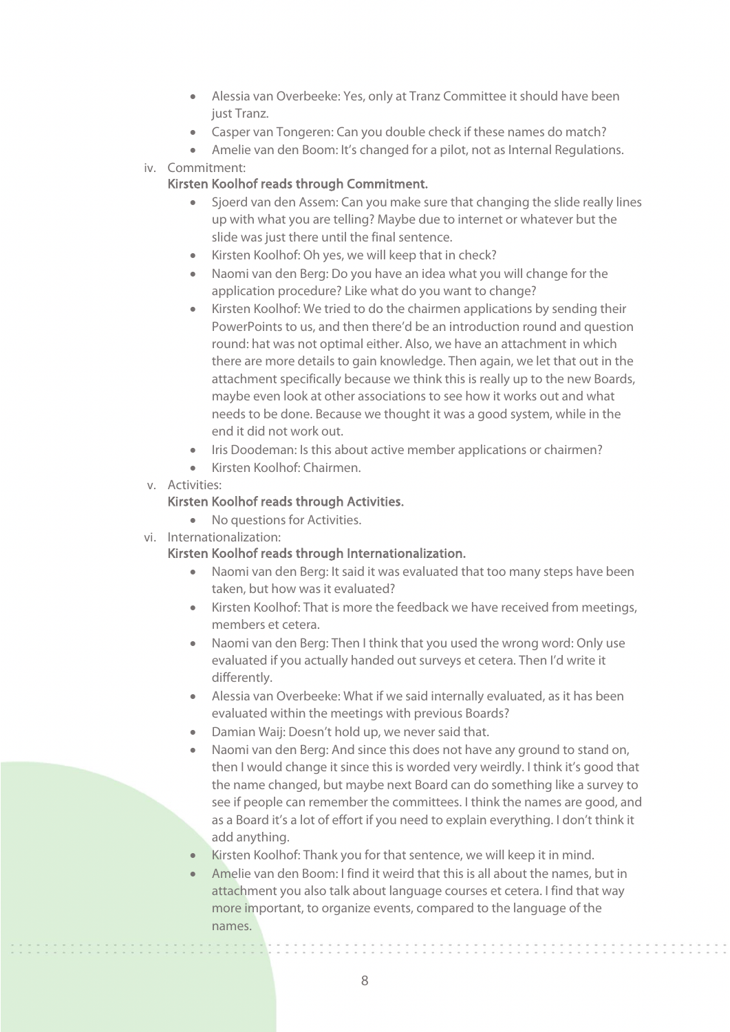- Alessia van Overbeeke: Yes, only at Tranz Committee it should have been just Tranz.
- Casper van Tongeren: Can you double check if these names do match?
- Amelie van den Boom: It's changed for a pilot, not as Internal Regulations.
- iv. Commitment:

## Kirsten Koolhof reads through Commitment.

- Sjoerd van den Assem: Can you make sure that changing the slide really lines up with what you are telling? Maybe due to internet or whatever but the slide was just there until the final sentence.
- Kirsten Koolhof: Oh yes, we will keep that in check?
- Naomi van den Berg: Do you have an idea what you will change for the application procedure? Like what do you want to change?
- Kirsten Koolhof: We tried to do the chairmen applications by sending their PowerPoints to us, and then there'd be an introduction round and question round: hat was not optimal either. Also, we have an attachment in which there are more details to gain knowledge. Then again, we let that out in the attachment specifically because we think this is really up to the new Boards, maybe even look at other associations to see how it works out and what needs to be done. Because we thought it was a good system, while in the end it did not work out.
- Iris Doodeman: Is this about active member applications or chairmen?
- Kirsten Koolhof: Chairmen.
- v. Activities:

# Kirsten Koolhof reads through Activities.

- No questions for Activities.
- vi. Internationalization:

# Kirsten Koolhof reads through Internationalization.

- Naomi van den Berg: It said it was evaluated that too many steps have been taken, but how was it evaluated?
- Kirsten Koolhof: That is more the feedback we have received from meetings, members et cetera.
- Naomi van den Berg: Then I think that you used the wrong word: Only use evaluated if you actually handed out surveys et cetera. Then I'd write it differently.
- Alessia van Overbeeke: What if we said internally evaluated, as it has been evaluated within the meetings with previous Boards?
- Damian Waij: Doesn't hold up, we never said that.
- Naomi van den Berg: And since this does not have any ground to stand on, then I would change it since this is worded very weirdly. I think it's good that the name changed, but maybe next Board can do something like a survey to see if people can remember the committees. I think the names are good, and as a Board it's a lot of effort if you need to explain everything. I don't think it add anything.
- Kirsten Koolhof: Thank you for that sentence, we will keep it in mind.
- Amelie van den Boom: I find it weird that this is all about the names, but in attachment you also talk about language courses et cetera. I find that way more important, to organize events, compared to the language of the names.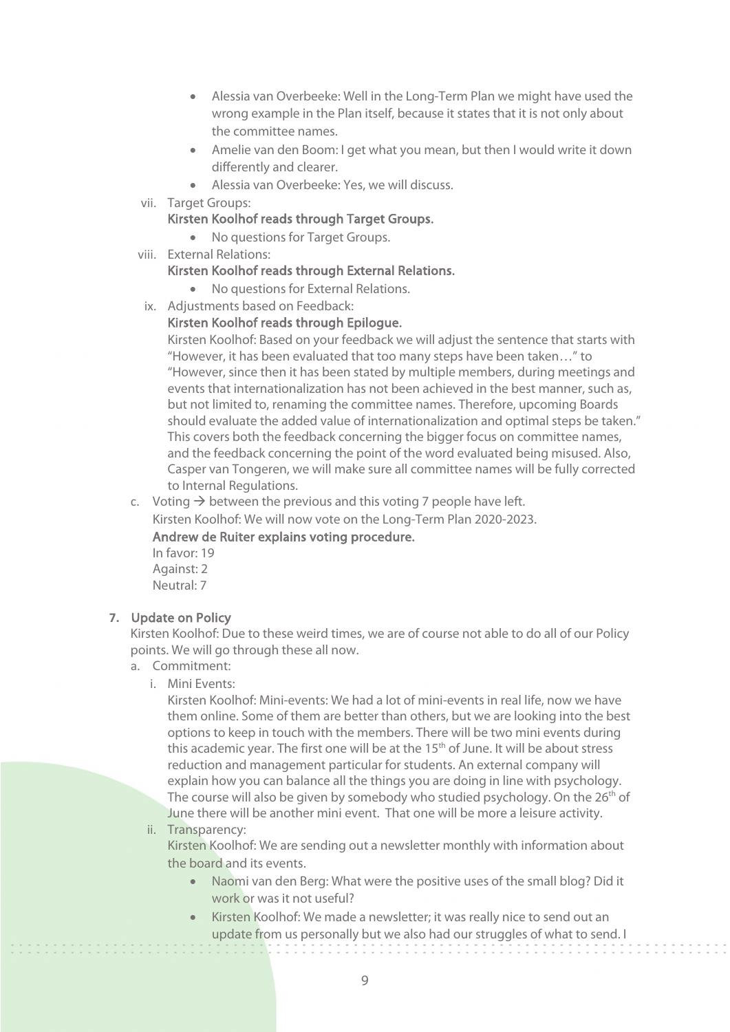- Alessia van Overbeeke: Well in the Long-Term Plan we might have used the wrong example in the Plan itself, because it states that it is not only about the committee names.
- Amelie van den Boom: I get what you mean, but then I would write it down differently and clearer.
- Alessia van Overbeeke: Yes, we will discuss.
- vii. Target Groups:

Kirsten Koolhof reads through Target Groups.

- No questions for Target Groups.
- viii. External Relations:

#### Kirsten Koolhof reads through External Relations.

- No questions for External Relations.
- ix. Adjustments based on Feedback:

#### Kirsten Koolhof reads through Epilogue.

Kirsten Koolhof: Based on your feedback we will adjust the sentence that starts with "However, it has been evaluated that too many steps have been taken…" to "However, since then it has been stated by multiple members, during meetings and events that internationalization has not been achieved in the best manner, such as, but not limited to, renaming the committee names. Therefore, upcoming Boards should evaluate the added value of internationalization and optimal steps be taken." This covers both the feedback concerning the bigger focus on committee names, and the feedback concerning the point of the word evaluated being misused. Also, Casper van Tongeren, we will make sure all committee names will be fully corrected to Internal Regulations.

c. Voting  $\rightarrow$  between the previous and this voting 7 people have left.

Kirsten Koolhof: We will now vote on the Long-Term Plan 2020-2023.

#### Andrew de Ruiter explains voting procedure.

In favor: 19 Against: 2 Neutral: 7

#### **7.** Update on Policy

Kirsten Koolhof: Due to these weird times, we are of course not able to do all of our Policy points. We will go through these all now.

- a. Commitment:
	- i. Mini Events:

Kirsten Koolhof: Mini-events: We had a lot of mini-events in real life, now we have them online. Some of them are better than others, but we are looking into the best options to keep in touch with the members. There will be two mini events during this academic year. The first one will be at the 15<sup>th</sup> of June. It will be about stress reduction and management particular for students. An external company will explain how you can balance all the things you are doing in line with psychology. The course will also be given by somebody who studied psychology. On the  $26<sup>th</sup>$  of June there will be another mini event. That one will be more a leisure activity.

#### ii. Transparency:

Kirsten Koolhof: We are sending out a newsletter monthly with information about the board and its events.

- Naomi van den Berg: What were the positive uses of the small blog? Did it work or was it not useful?
- Kirsten Koolhof: We made a newsletter; it was really nice to send out an update from us personally but we also had our struggles of what to send. I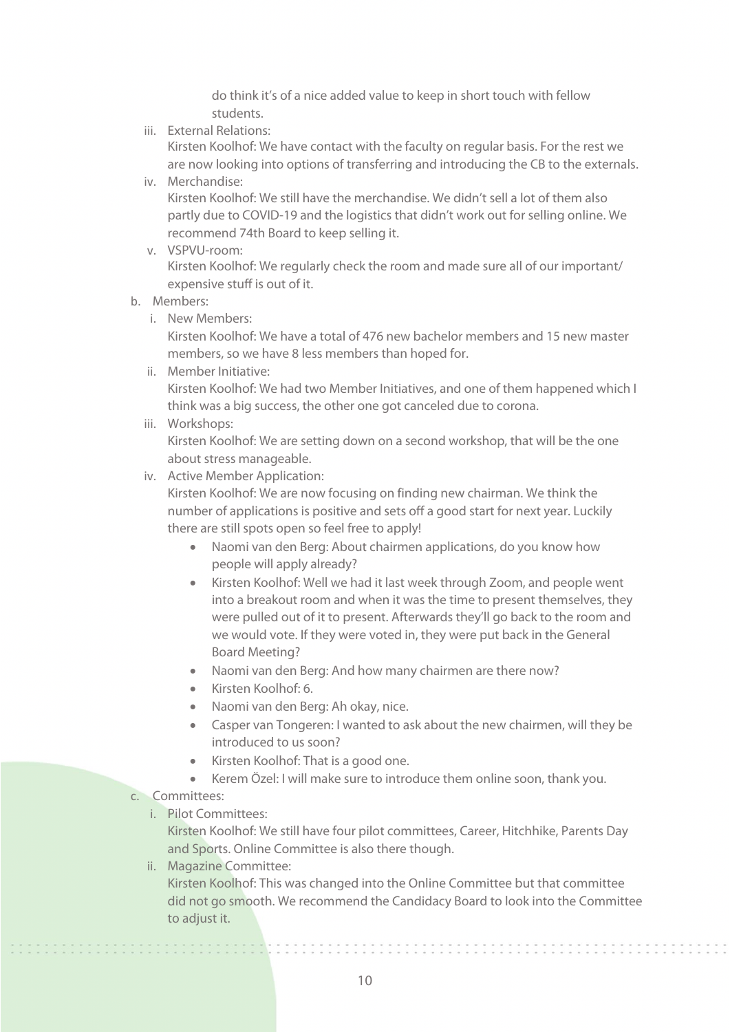do think it's of a nice added value to keep in short touch with fellow students.

iii. External Relations:

Kirsten Koolhof: We have contact with the faculty on regular basis. For the rest we are now looking into options of transferring and introducing the CB to the externals.

iv. Merchandise:

Kirsten Koolhof: We still have the merchandise. We didn't sell a lot of them also partly due to COVID-19 and the logistics that didn't work out for selling online. We recommend 74th Board to keep selling it.

v. VSPVU-room:

Kirsten Koolhof: We regularly check the room and made sure all of our important/ expensive stuff is out of it.

- b. Members:
	- i. New Members:

Kirsten Koolhof: We have a total of 476 new bachelor members and 15 new master members, so we have 8 less members than hoped for.

ii. Member Initiative:

Kirsten Koolhof: We had two Member Initiatives, and one of them happened which I think was a big success, the other one got canceled due to corona.

iii. Workshops:

Kirsten Koolhof: We are setting down on a second workshop, that will be the one about stress manageable.

iv. Active Member Application:

Kirsten Koolhof: We are now focusing on finding new chairman. We think the number of applications is positive and sets off a good start for next year. Luckily there are still spots open so feel free to apply!

- Naomi van den Berg: About chairmen applications, do you know how people will apply already?
- Kirsten Koolhof: Well we had it last week through Zoom, and people went into a breakout room and when it was the time to present themselves, they were pulled out of it to present. Afterwards they'll go back to the room and we would vote. If they were voted in, they were put back in the General Board Meeting?
- Naomi van den Berg: And how many chairmen are there now?
- Kirsten Koolhof: 6.
- Naomi van den Berg: Ah okay, nice.
- Casper van Tongeren: I wanted to ask about the new chairmen, will they be introduced to us soon?
- Kirsten Koolhof: That is a good one.
- Kerem Özel: I will make sure to introduce them online soon, thank you.
- c. Committees:

,,,,,,,,,,,,,,,,,,

i. Pilot Committees:

Kirsten Koolhof: We still have four pilot committees, Career, Hitchhike, Parents Day and Sports. Online Committee is also there though.

ii. Magazine Committee:

Kirsten Koolhof: This was changed into the Online Committee but that committee did not go smooth. We recommend the Candidacy Board to look into the Committee to adjust it.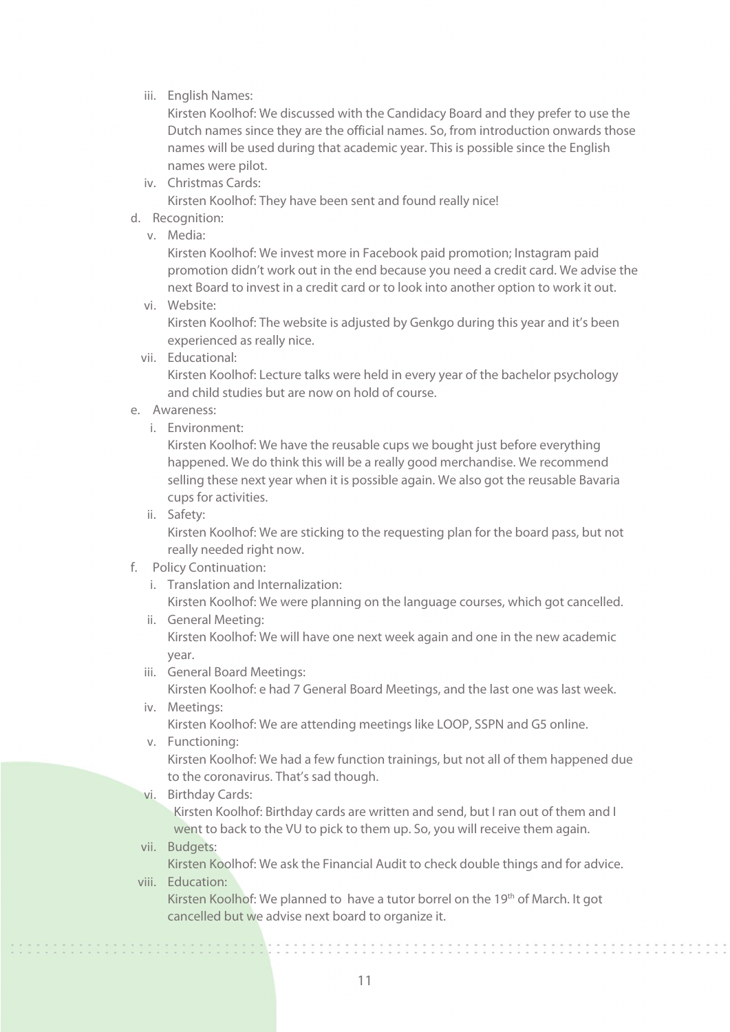iii. English Names:

Kirsten Koolhof: We discussed with the Candidacy Board and they prefer to use the Dutch names since they are the official names. So, from introduction onwards those names will be used during that academic year. This is possible since the English names were pilot.

iv. Christmas Cards:

Kirsten Koolhof: They have been sent and found really nice!

- d. Recognition:
	- v. Media:

Kirsten Koolhof: We invest more in Facebook paid promotion; Instagram paid promotion didn't work out in the end because you need a credit card. We advise the next Board to invest in a credit card or to look into another option to work it out.

vi. Website:

Kirsten Koolhof: The website is adjusted by Genkgo during this year and it's been experienced as really nice.

vii. Educational:

Kirsten Koolhof: Lecture talks were held in every year of the bachelor psychology and child studies but are now on hold of course.

- e. Awareness:
	- i. Environment:

Kirsten Koolhof: We have the reusable cups we bought just before everything happened. We do think this will be a really good merchandise. We recommend selling these next year when it is possible again. We also got the reusable Bavaria cups for activities.

ii. Safety:

Kirsten Koolhof: We are sticking to the requesting plan for the board pass, but not really needed right now.

- f. Policy Continuation:
	- i. Translation and Internalization:
		- Kirsten Koolhof: We were planning on the language courses, which got cancelled.
	- ii. General Meeting: Kirsten Koolhof: We will have one next week again and one in the new academic year.
	- iii. General Board Meetings:

Kirsten Koolhof: e had 7 General Board Meetings, and the last one was last week. iv. Meetings:

Kirsten Koolhof: We are attending meetings like LOOP, SSPN and G5 online.

v. Functioning:

Kirsten Koolhof: We had a few function trainings, but not all of them happened due to the coronavirus. That's sad though.

vi. Birthday Cards:

Kirsten Koolhof: Birthday cards are written and send, but I ran out of them and I went to back to the VU to pick to them up. So, you will receive them again.

vii. Budgets:

Kirsten Koolhof: We ask the Financial Audit to check double things and for advice. viii. Education:

Kirsten Koolhof: We planned to have a tutor borrel on the 19<sup>th</sup> of March. It got cancelled but we advise next board to organize it.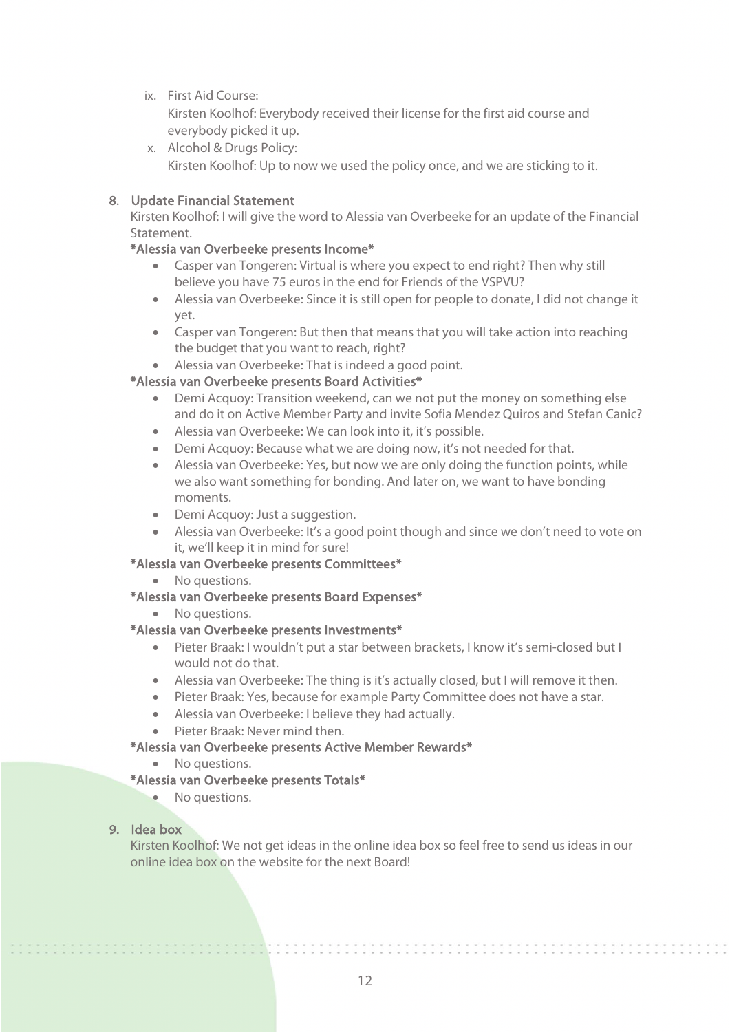ix. First Aid Course:

Kirsten Koolhof: Everybody received their license for the first aid course and everybody picked it up.

x. Alcohol & Drugs Policy: Kirsten Koolhof: Up to now we used the policy once, and we are sticking to it.

# 8. Update Financial Statement

Kirsten Koolhof: I will give the word to Alessia van Overbeeke for an update of the Financial Statement.

# \*Alessia van Overbeeke presents Income\*

- Casper van Tongeren: Virtual is where you expect to end right? Then why still believe you have 75 euros in the end for Friends of the VSPVU?
- Alessia van Overbeeke: Since it is still open for people to donate, I did not change it yet.
- Casper van Tongeren: But then that means that you will take action into reaching the budget that you want to reach, right?
- Alessia van Overbeeke: That is indeed a good point.

# \*Alessia van Overbeeke presents Board Activities\*

- Demi Acquoy: Transition weekend, can we not put the money on something else and do it on Active Member Party and invite Sofia Mendez Quiros and Stefan Canic?
- Alessia van Overbeeke: We can look into it, it's possible.
- Demi Acquoy: Because what we are doing now, it's not needed for that.
- Alessia van Overbeeke: Yes, but now we are only doing the function points, while we also want something for bonding. And later on, we want to have bonding moments.
- Demi Acquoy: Just a suggestion.
- Alessia van Overbeeke: It's a good point though and since we don't need to vote on it, we'll keep it in mind for sure!

# \*Alessia van Overbeeke presents Committees\*

- No questions.
- \*Alessia van Overbeeke presents Board Expenses\*
	- No questions.

# \*Alessia van Overbeeke presents Investments\*

- Pieter Braak: I wouldn't put a star between brackets, I know it's semi-closed but I would not do that.
- Alessia van Overbeeke: The thing is it's actually closed, but I will remove it then.
- Pieter Braak: Yes, because for example Party Committee does not have a star.
- Alessia van Overbeeke: I believe they had actually.
- Pieter Braak: Never mind then.

# \*Alessia van Overbeeke presents Active Member Rewards\*

• No questions.

# \*Alessia van Overbeeke presents Totals\*

• No questions.

# 9. Idea box

,,,,,,,,,,,,,,,,,,,,,

Kirsten Koolhof: We not get ideas in the online idea box so feel free to send us ideas in our online idea box on the website for the next Board!